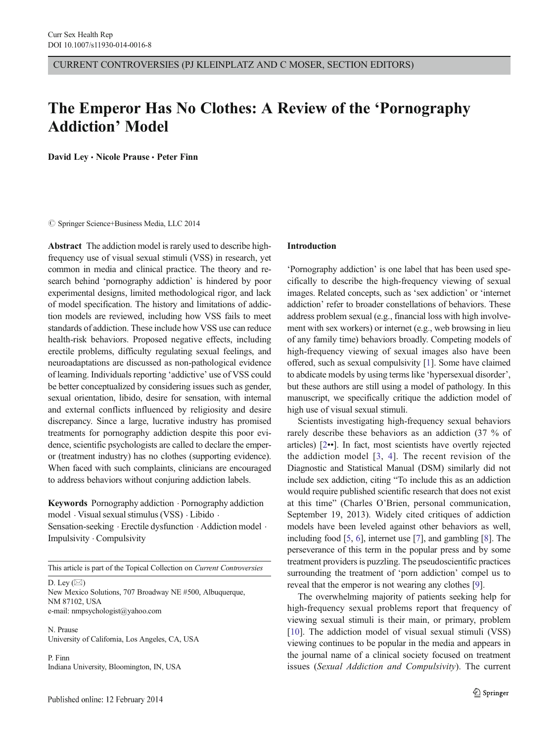CURRENT CONTROVERSIES (PJ KLEINPLATZ AND C MOSER, SECTION EDITORS)

# The Emperor Has No Clothes: A Review of the 'Pornography Addiction' Model

David Ley · Nicole Prause · Peter Finn

 $\oslash$  Springer Science+Business Media, LLC 2014

Abstract The addiction model is rarely used to describe highfrequency use of visual sexual stimuli (VSS) in research, yet common in media and clinical practice. The theory and research behind 'pornography addiction' is hindered by poor experimental designs, limited methodological rigor, and lack of model specification. The history and limitations of addiction models are reviewed, including how VSS fails to meet standards of addiction. These include how VSS use can reduce health-risk behaviors. Proposed negative effects, including erectile problems, difficulty regulating sexual feelings, and neuroadaptations are discussed as non-pathological evidence of learning. Individuals reporting 'addictive' use of VSS could be better conceptualized by considering issues such as gender, sexual orientation, libido, desire for sensation, with internal and external conflicts influenced by religiosity and desire discrepancy. Since a large, lucrative industry has promised treatments for pornography addiction despite this poor evidence, scientific psychologists are called to declare the emperor (treatment industry) has no clothes (supporting evidence). When faced with such complaints, clinicians are encouraged to address behaviors without conjuring addiction labels.

Keywords Pornography addiction . Pornography addiction model . Visual sexual stimulus (VSS) . Libido . Sensation-seeking · Erectile dysfunction · Addiction model · Impulsivity . Compulsivity

This article is part of the Topical Collection on Current Controversies

D. Ley  $(\boxtimes)$ 

New Mexico Solutions, 707 Broadway NE #500, Albuquerque, NM 87102, USA e-mail: nmpsychologist@yahoo.com

N. Prause University of California, Los Angeles, CA, USA

P. Finn Indiana University, Bloomington, IN, USA

#### Introduction

'Pornography addiction' is one label that has been used specifically to describe the high-frequency viewing of sexual images. Related concepts, such as 'sex addiction' or 'internet addiction' refer to broader constellations of behaviors. These address problem sexual (e.g., financial loss with high involvement with sex workers) or internet (e.g., web browsing in lieu of any family time) behaviors broadly. Competing models of high-frequency viewing of sexual images also have been offered, such as sexual compulsivity [\[1](#page-7-0)]. Some have claimed to abdicate models by using terms like 'hypersexual disorder', but these authors are still using a model of pathology. In this manuscript, we specifically critique the addiction model of high use of visual sexual stimuli.

Scientists investigating high-frequency sexual behaviors rarely describe these behaviors as an addiction (37 % of articles) [\[2](#page-7-0)••]. In fact, most scientists have overtly rejected the addiction model [[3](#page-7-0), [4\]](#page-7-0). The recent revision of the Diagnostic and Statistical Manual (DSM) similarly did not include sex addiction, citing "To include this as an addiction would require published scientific research that does not exist at this time" (Charles O'Brien, personal communication, September 19, 2013). Widely cited critiques of addiction models have been leveled against other behaviors as well, including food [\[5](#page-7-0), [6](#page-7-0)], internet use [\[7](#page-7-0)], and gambling [[8\]](#page-7-0). The perseverance of this term in the popular press and by some treatment providers is puzzling. The pseudoscientific practices surrounding the treatment of 'porn addiction' compel us to reveal that the emperor is not wearing any clothes [\[9](#page-7-0)].

The overwhelming majority of patients seeking help for high-frequency sexual problems report that frequency of viewing sexual stimuli is their main, or primary, problem [\[10](#page-7-0)]. The addiction model of visual sexual stimuli (VSS) viewing continues to be popular in the media and appears in the journal name of a clinical society focused on treatment issues (Sexual Addiction and Compulsivity). The current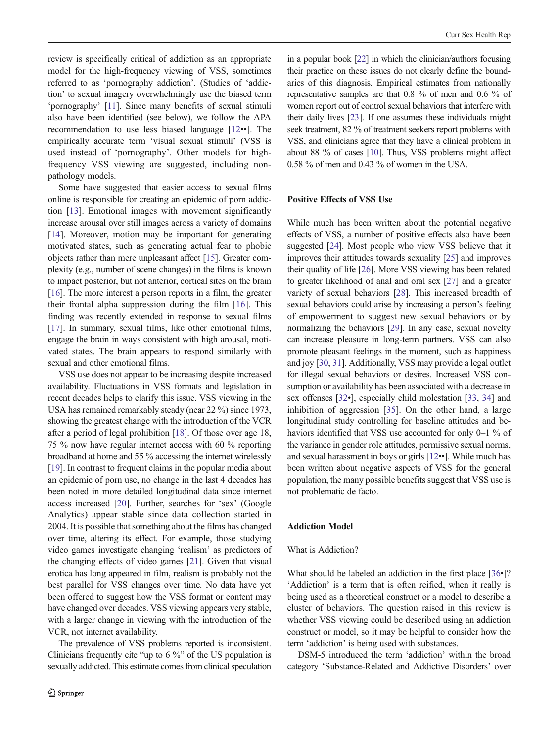review is specifically critical of addiction as an appropriate model for the high-frequency viewing of VSS, sometimes referred to as 'pornography addiction'. (Studies of 'addiction' to sexual imagery overwhelmingly use the biased term 'pornography' [[11\]](#page-7-0). Since many benefits of sexual stimuli also have been identified (see below), we follow the APA recommendation to use less biased language [\[12](#page-7-0)••]. The empirically accurate term 'visual sexual stimuli' (VSS is used instead of 'pornography'. Other models for highfrequency VSS viewing are suggested, including nonpathology models.

Some have suggested that easier access to sexual films online is responsible for creating an epidemic of porn addiction [[13\]](#page-7-0). Emotional images with movement significantly increase arousal over still images across a variety of domains [\[14](#page-7-0)]. Moreover, motion may be important for generating motivated states, such as generating actual fear to phobic objects rather than mere unpleasant affect [\[15](#page-7-0)]. Greater complexity (e.g., number of scene changes) in the films is known to impact posterior, but not anterior, cortical sites on the brain [\[16\]](#page-7-0). The more interest a person reports in a film, the greater their frontal alpha suppression during the film [\[16](#page-7-0)]. This finding was recently extended in response to sexual films [\[17\]](#page-7-0). In summary, sexual films, like other emotional films, engage the brain in ways consistent with high arousal, motivated states. The brain appears to respond similarly with sexual and other emotional films.

VSS use does not appear to be increasing despite increased availability. Fluctuations in VSS formats and legislation in recent decades helps to clarify this issue. VSS viewing in the USA has remained remarkably steady (near 22 %) since 1973, showing the greatest change with the introduction of the VCR after a period of legal prohibition [[18](#page-7-0)]. Of those over age 18, 75 % now have regular internet access with 60 % reporting broadband at home and 55 % accessing the internet wirelessly [\[19\]](#page-7-0). In contrast to frequent claims in the popular media about an epidemic of porn use, no change in the last 4 decades has been noted in more detailed longitudinal data since internet access increased [[20\]](#page-7-0). Further, searches for 'sex' (Google Analytics) appear stable since data collection started in 2004. It is possible that something about the films has changed over time, altering its effect. For example, those studying video games investigate changing 'realism' as predictors of the changing effects of video games [\[21\]](#page-7-0). Given that visual erotica has long appeared in film, realism is probably not the best parallel for VSS changes over time. No data have yet been offered to suggest how the VSS format or content may have changed over decades. VSS viewing appears very stable, with a larger change in viewing with the introduction of the VCR, not internet availability.

The prevalence of VSS problems reported is inconsistent. Clinicians frequently cite "up to 6 %" of the US population is sexually addicted. This estimate comes from clinical speculation

in a popular book [\[22\]](#page-8-0) in which the clinician/authors focusing their practice on these issues do not clearly define the boundaries of this diagnosis. Empirical estimates from nationally representative samples are that 0.8 % of men and 0.6 % of women report out of control sexual behaviors that interfere with their daily lives [\[23\]](#page-8-0). If one assumes these individuals might seek treatment, 82 % of treatment seekers report problems with VSS, and clinicians agree that they have a clinical problem in about 88 % of cases [\[10](#page-7-0)]. Thus, VSS problems might affect 0.58 % of men and 0.43 % of women in the USA.

## Positive Effects of VSS Use

While much has been written about the potential negative effects of VSS, a number of positive effects also have been suggested [\[24](#page-8-0)]. Most people who view VSS believe that it improves their attitudes towards sexuality [\[25](#page-8-0)] and improves their quality of life [\[26\]](#page-8-0). More VSS viewing has been related to greater likelihood of anal and oral sex [\[27\]](#page-8-0) and a greater variety of sexual behaviors [\[28](#page-8-0)]. This increased breadth of sexual behaviors could arise by increasing a person's feeling of empowerment to suggest new sexual behaviors or by normalizing the behaviors [\[29\]](#page-8-0). In any case, sexual novelty can increase pleasure in long-term partners. VSS can also promote pleasant feelings in the moment, such as happiness and joy [\[30,](#page-8-0) [31](#page-8-0)]. Additionally, VSS may provide a legal outlet for illegal sexual behaviors or desires. Increased VSS consumption or availability has been associated with a decrease in sex offenses [[32](#page-8-0)•], especially child molestation [\[33](#page-8-0), [34\]](#page-8-0) and inhibition of aggression [[35\]](#page-8-0). On the other hand, a large longitudinal study controlling for baseline attitudes and behaviors identified that VSS use accounted for only 0–1 % of the variance in gender role attitudes, permissive sexual norms, and sexual harassment in boys or girls [\[12](#page-7-0)••]. While much has been written about negative aspects of VSS for the general population, the many possible benefits suggest that VSS use is not problematic de facto.

## Addiction Model

## What is Addiction?

What should be labeled an addiction in the first place [[36](#page-8-0)•]? 'Addiction' is a term that is often reified, when it really is being used as a theoretical construct or a model to describe a cluster of behaviors. The question raised in this review is whether VSS viewing could be described using an addiction construct or model, so it may be helpful to consider how the term 'addiction' is being used with substances.

DSM-5 introduced the term 'addiction' within the broad category 'Substance-Related and Addictive Disorders' over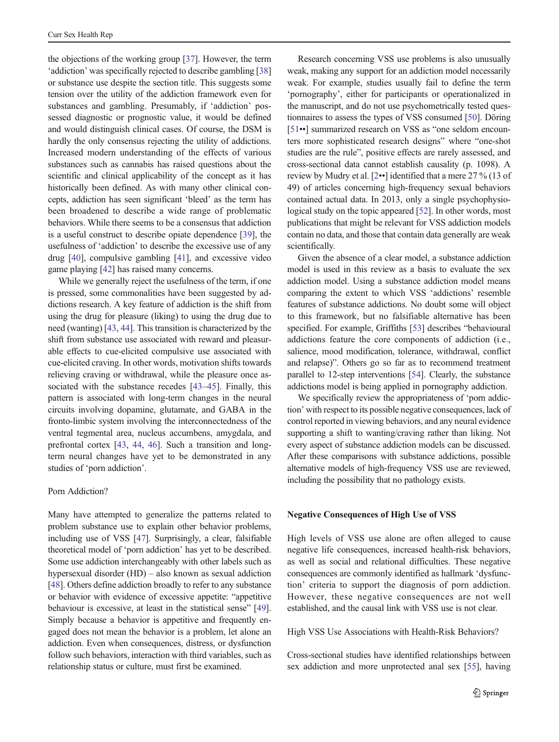the objections of the working group [\[37\]](#page-8-0). However, the term 'addiction' was specifically rejected to describe gambling [\[38\]](#page-8-0) or substance use despite the section title. This suggests some tension over the utility of the addiction framework even for substances and gambling. Presumably, if 'addiction' possessed diagnostic or prognostic value, it would be defined and would distinguish clinical cases. Of course, the DSM is hardly the only consensus rejecting the utility of addictions. Increased modern understanding of the effects of various substances such as cannabis has raised questions about the scientific and clinical applicability of the concept as it has historically been defined. As with many other clinical concepts, addiction has seen significant 'bleed' as the term has been broadened to describe a wide range of problematic behaviors. While there seems to be a consensus that addiction is a useful construct to describe opiate dependence [[39](#page-8-0)], the usefulness of 'addiction' to describe the excessive use of any drug [\[40\]](#page-8-0), compulsive gambling [[41](#page-8-0)], and excessive video game playing [[42](#page-8-0)] has raised many concerns.

While we generally reject the usefulness of the term, if one is pressed, some commonalities have been suggested by addictions research. A key feature of addiction is the shift from using the drug for pleasure (liking) to using the drug due to need (wanting) [\[43,](#page-8-0) [44](#page-8-0)]. This transition is characterized by the shift from substance use associated with reward and pleasurable effects to cue-elicited compulsive use associated with cue-elicited craving. In other words, motivation shifts towards relieving craving or withdrawal, while the pleasure once as-sociated with the substance recedes [[43](#page-8-0)–[45\]](#page-8-0). Finally, this pattern is associated with long-term changes in the neural circuits involving dopamine, glutamate, and GABA in the fronto-limbic system involving the interconnectedness of the ventral tegmental area, nucleus accumbens, amygdala, and prefrontal cortex [[43,](#page-8-0) [44](#page-8-0), [46\]](#page-8-0). Such a transition and longterm neural changes have yet to be demonstrated in any studies of 'porn addiction'.

## Porn Addiction?

Many have attempted to generalize the patterns related to problem substance use to explain other behavior problems, including use of VSS [\[47](#page-8-0)]. Surprisingly, a clear, falsifiable theoretical model of 'porn addiction' has yet to be described. Some use addiction interchangeably with other labels such as hypersexual disorder (HD) – also known as sexual addiction [\[48\]](#page-8-0). Others define addiction broadly to refer to any substance or behavior with evidence of excessive appetite: "appetitive behaviour is excessive, at least in the statistical sense" [[49\]](#page-8-0). Simply because a behavior is appetitive and frequently engaged does not mean the behavior is a problem, let alone an addiction. Even when consequences, distress, or dysfunction follow such behaviors, interaction with third variables, such as relationship status or culture, must first be examined.

Research concerning VSS use problems is also unusually weak, making any support for an addiction model necessarily weak. For example, studies usually fail to define the term 'pornography', either for participants or operationalized in the manuscript, and do not use psychometrically tested questionnaires to assess the types of VSS consumed [[50](#page-8-0)]. Döring [\[51](#page-8-0)••] summarized research on VSS as "one seldom encounters more sophisticated research designs" where "one-shot studies are the rule", positive effects are rarely assessed, and cross-sectional data cannot establish causality (p. 1098). A review by Mudry et al. [[2](#page-7-0)••] identified that a mere 27 % (13 of 49) of articles concerning high-frequency sexual behaviors contained actual data. In 2013, only a single psychophysiological study on the topic appeared [[52](#page-8-0)]. In other words, most publications that might be relevant for VSS addiction models contain no data, and those that contain data generally are weak scientifically.

Given the absence of a clear model, a substance addiction model is used in this review as a basis to evaluate the sex addiction model. Using a substance addiction model means comparing the extent to which VSS 'addictions' resemble features of substance addictions. No doubt some will object to this framework, but no falsifiable alternative has been specified. For example, Griffiths [[53](#page-8-0)] describes "behavioural addictions feature the core components of addiction (i.e., salience, mood modification, tolerance, withdrawal, conflict and relapse)". Others go so far as to recommend treatment parallel to 12-step interventions [[54](#page-8-0)]. Clearly, the substance addictions model is being applied in pornography addiction.

We specifically review the appropriateness of 'porn addiction' with respect to its possible negative consequences, lack of control reported in viewing behaviors, and any neural evidence supporting a shift to wanting/craving rather than liking. Not every aspect of substance addiction models can be discussed. After these comparisons with substance addictions, possible alternative models of high-frequency VSS use are reviewed, including the possibility that no pathology exists.

## Negative Consequences of High Use of VSS

High levels of VSS use alone are often alleged to cause negative life consequences, increased health-risk behaviors, as well as social and relational difficulties. These negative consequences are commonly identified as hallmark 'dysfunction' criteria to support the diagnosis of porn addiction. However, these negative consequences are not well established, and the causal link with VSS use is not clear.

High VSS Use Associations with Health-Risk Behaviors?

Cross-sectional studies have identified relationships between sex addiction and more unprotected anal sex [[55\]](#page-8-0), having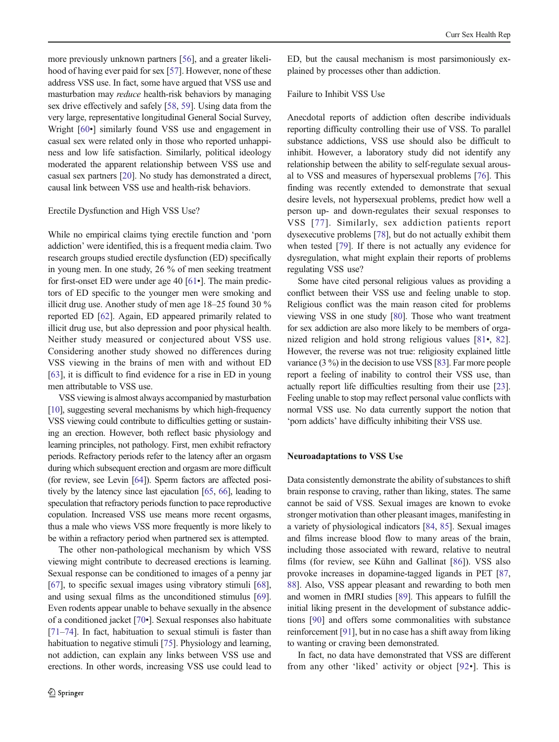more previously unknown partners [\[56\]](#page-8-0), and a greater likelihood of having ever paid for sex [[57](#page-8-0)]. However, none of these address VSS use. In fact, some have argued that VSS use and masturbation may reduce health-risk behaviors by managing sex drive effectively and safely [\[58,](#page-8-0) [59\]](#page-8-0). Using data from the very large, representative longitudinal General Social Survey, Wright [[60](#page-8-0)•] similarly found VSS use and engagement in casual sex were related only in those who reported unhappiness and low life satisfaction. Similarly, political ideology moderated the apparent relationship between VSS use and casual sex partners [\[20](#page-7-0)]. No study has demonstrated a direct, causal link between VSS use and health-risk behaviors.

## Erectile Dysfunction and High VSS Use?

While no empirical claims tying erectile function and 'porn addiction' were identified, this is a frequent media claim. Two research groups studied erectile dysfunction (ED) specifically in young men. In one study, 26 % of men seeking treatment for first-onset ED were under age 40 [\[61](#page-9-0)•]. The main predictors of ED specific to the younger men were smoking and illicit drug use. Another study of men age 18–25 found 30 % reported ED [\[62\]](#page-9-0). Again, ED appeared primarily related to illicit drug use, but also depression and poor physical health. Neither study measured or conjectured about VSS use. Considering another study showed no differences during VSS viewing in the brains of men with and without ED [\[63\]](#page-9-0), it is difficult to find evidence for a rise in ED in young men attributable to VSS use.

VSS viewing is almost always accompanied by masturbation [\[10\]](#page-7-0), suggesting several mechanisms by which high-frequency VSS viewing could contribute to difficulties getting or sustaining an erection. However, both reflect basic physiology and learning principles, not pathology. First, men exhibit refractory periods. Refractory periods refer to the latency after an orgasm during which subsequent erection and orgasm are more difficult (for review, see Levin [\[64\]](#page-9-0)). Sperm factors are affected positively by the latency since last ejaculation [\[65,](#page-9-0) [66](#page-9-0)], leading to speculation that refractory periods function to pace reproductive copulation. Increased VSS use means more recent orgasms, thus a male who views VSS more frequently is more likely to be within a refractory period when partnered sex is attempted.

The other non-pathological mechanism by which VSS viewing might contribute to decreased erections is learning. Sexual response can be conditioned to images of a penny jar [\[67\]](#page-9-0), to specific sexual images using vibratory stimuli [[68\]](#page-9-0), and using sexual films as the unconditioned stimulus [[69\]](#page-9-0). Even rodents appear unable to behave sexually in the absence of a conditioned jacket [\[70](#page-9-0)•]. Sexual responses also habituate [\[71](#page-9-0)–[74\]](#page-9-0). In fact, habituation to sexual stimuli is faster than habituation to negative stimuli [\[75](#page-9-0)]. Physiology and learning, not addiction, can explain any links between VSS use and erections. In other words, increasing VSS use could lead to

ED, but the causal mechanism is most parsimoniously explained by processes other than addiction.

#### Failure to Inhibit VSS Use

Anecdotal reports of addiction often describe individuals reporting difficulty controlling their use of VSS. To parallel substance addictions, VSS use should also be difficult to inhibit. However, a laboratory study did not identify any relationship between the ability to self-regulate sexual arousal to VSS and measures of hypersexual problems [\[76](#page-9-0)]. This finding was recently extended to demonstrate that sexual desire levels, not hypersexual problems, predict how well a person up- and down-regulates their sexual responses to VSS [[77\]](#page-9-0). Similarly, sex addiction patients report dysexecutive problems [\[78](#page-9-0)], but do not actually exhibit them when tested [\[79\]](#page-9-0). If there is not actually any evidence for dysregulation, what might explain their reports of problems regulating VSS use?

Some have cited personal religious values as providing a conflict between their VSS use and feeling unable to stop. Religious conflict was the main reason cited for problems viewing VSS in one study [\[80\]](#page-9-0). Those who want treatment for sex addiction are also more likely to be members of organized religion and hold strong religious values [\[81](#page-9-0)•, [82\]](#page-9-0). However, the reverse was not true: religiosity explained little variance (3 %) in the decision to use VSS [[83](#page-9-0)]. Far more people report a feeling of inability to control their VSS use, than actually report life difficulties resulting from their use [\[23\]](#page-8-0). Feeling unable to stop may reflect personal value conflicts with normal VSS use. No data currently support the notion that 'porn addicts' have difficulty inhibiting their VSS use.

#### Neuroadaptations to VSS Use

Data consistently demonstrate the ability of substances to shift brain response to craving, rather than liking, states. The same cannot be said of VSS. Sexual images are known to evoke stronger motivation than other pleasant images, manifesting in a variety of physiological indicators [[84](#page-9-0), [85\]](#page-9-0). Sexual images and films increase blood flow to many areas of the brain, including those associated with reward, relative to neutral films (for review, see Kühn and Gallinat [[86\]](#page-9-0)). VSS also provoke increases in dopamine-tagged ligands in PET [\[87,](#page-9-0) [88\]](#page-9-0). Also, VSS appear pleasant and rewarding to both men and women in fMRI studies [[89](#page-9-0)]. This appears to fulfill the initial liking present in the development of substance addictions [[90\]](#page-9-0) and offers some commonalities with substance reinforcement [\[91](#page-9-0)], but in no case has a shift away from liking to wanting or craving been demonstrated.

In fact, no data have demonstrated that VSS are different from any other 'liked' activity or object [[92](#page-9-0)•]. This is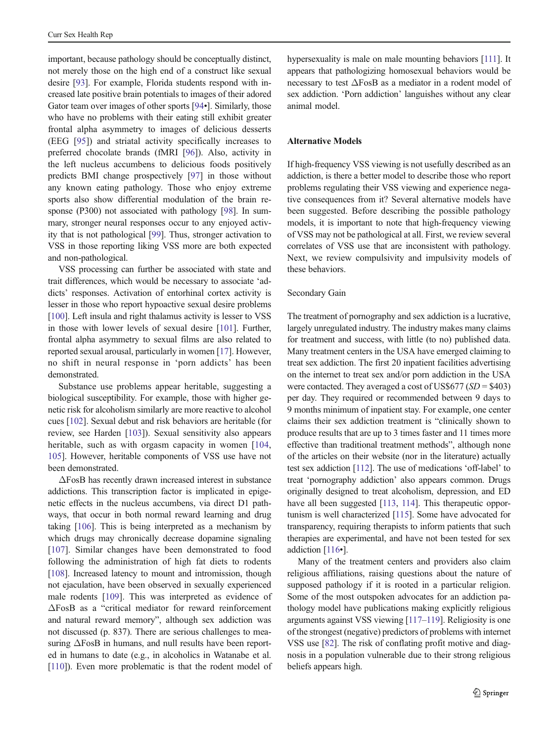important, because pathology should be conceptually distinct, not merely those on the high end of a construct like sexual desire [[93\]](#page-9-0). For example, Florida students respond with increased late positive brain potentials to images of their adored Gator team over images of other sports [[94](#page-9-0)•]. Similarly, those who have no problems with their eating still exhibit greater frontal alpha asymmetry to images of delicious desserts (EEG [[95\]](#page-9-0)) and striatal activity specifically increases to preferred chocolate brands (fMRI [[96\]](#page-9-0)). Also, activity in the left nucleus accumbens to delicious foods positively predicts BMI change prospectively [\[97](#page-9-0)] in those without any known eating pathology. Those who enjoy extreme sports also show differential modulation of the brain response (P300) not associated with pathology [[98](#page-10-0)]. In summary, stronger neural responses occur to any enjoyed activity that is not pathological [[99](#page-10-0)]. Thus, stronger activation to VSS in those reporting liking VSS more are both expected and non-pathological.

VSS processing can further be associated with state and trait differences, which would be necessary to associate 'addicts' responses. Activation of entorhinal cortex activity is lesser in those who report hypoactive sexual desire problems [\[100\]](#page-10-0). Left insula and right thalamus activity is lesser to VSS in those with lower levels of sexual desire [[101\]](#page-10-0). Further, frontal alpha asymmetry to sexual films are also related to reported sexual arousal, particularly in women [\[17\]](#page-7-0). However, no shift in neural response in 'porn addicts' has been demonstrated.

Substance use problems appear heritable, suggesting a biological susceptibility. For example, those with higher genetic risk for alcoholism similarly are more reactive to alcohol cues [\[102\]](#page-10-0). Sexual debut and risk behaviors are heritable (for review, see Harden [\[103](#page-10-0)]). Sexual sensitivity also appears heritable, such as with orgasm capacity in women [\[104,](#page-10-0) [105\]](#page-10-0). However, heritable components of VSS use have not been demonstrated.

ΔFosB has recently drawn increased interest in substance addictions. This transcription factor is implicated in epigenetic effects in the nucleus accumbens, via direct D1 pathways, that occur in both normal reward learning and drug taking [\[106](#page-10-0)]. This is being interpreted as a mechanism by which drugs may chronically decrease dopamine signaling [\[107](#page-10-0)]. Similar changes have been demonstrated to food following the administration of high fat diets to rodents [\[108\]](#page-10-0). Increased latency to mount and intromission, though not ejaculation, have been observed in sexually experienced male rodents [\[109](#page-10-0)]. This was interpreted as evidence of ΔFosB as a "critical mediator for reward reinforcement and natural reward memory", although sex addiction was not discussed (p. 837). There are serious challenges to measuring  $\Delta$ FosB in humans, and null results have been reported in humans to date (e.g., in alcoholics in Watanabe et al. [\[110](#page-10-0)]). Even more problematic is that the rodent model of hypersexuality is male on male mounting behaviors [[111\]](#page-10-0). It appears that pathologizing homosexual behaviors would be necessary to test ΔFosB as a mediator in a rodent model of sex addiction. 'Porn addiction' languishes without any clear animal model.

## Alternative Models

If high-frequency VSS viewing is not usefully described as an addiction, is there a better model to describe those who report problems regulating their VSS viewing and experience negative consequences from it? Several alternative models have been suggested. Before describing the possible pathology models, it is important to note that high-frequency viewing of VSS may not be pathological at all. First, we review several correlates of VSS use that are inconsistent with pathology. Next, we review compulsivity and impulsivity models of these behaviors.

## Secondary Gain

The treatment of pornography and sex addiction is a lucrative, largely unregulated industry. The industry makes many claims for treatment and success, with little (to no) published data. Many treatment centers in the USA have emerged claiming to treat sex addiction. The first 20 inpatient facilities advertising on the internet to treat sex and/or porn addiction in the USA were contacted. They averaged a cost of US\$677 ( $SD = $403$ ) per day. They required or recommended between 9 days to 9 months minimum of inpatient stay. For example, one center claims their sex addiction treatment is "clinically shown to produce results that are up to 3 times faster and 11 times more effective than traditional treatment methods", although none of the articles on their website (nor in the literature) actually test sex addiction [\[112\]](#page-10-0). The use of medications 'off-label' to treat 'pornography addiction' also appears common. Drugs originally designed to treat alcoholism, depression, and ED have all been suggested [[113](#page-10-0), [114](#page-10-0)]. This therapeutic opportunism is well characterized [[115\]](#page-10-0). Some have advocated for transparency, requiring therapists to inform patients that such therapies are experimental, and have not been tested for sex addiction [[116](#page-10-0)•].

Many of the treatment centers and providers also claim religious affiliations, raising questions about the nature of supposed pathology if it is rooted in a particular religion. Some of the most outspoken advocates for an addiction pathology model have publications making explicitly religious arguments against VSS viewing [\[117](#page-10-0)–[119\]](#page-10-0). Religiosity is one of the strongest (negative) predictors of problems with internet VSS use [\[82\]](#page-9-0). The risk of conflating profit motive and diagnosis in a population vulnerable due to their strong religious beliefs appears high.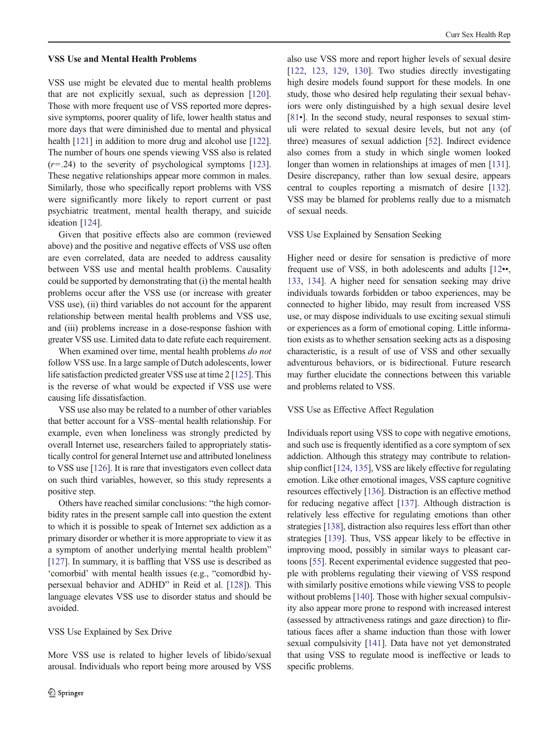#### VSS Use and Mental Health Problems

VSS use might be elevated due to mental health problems that are not explicitly sexual, such as depression [\[120](#page-10-0)]. Those with more frequent use of VSS reported more depressive symptoms, poorer quality of life, lower health status and more days that were diminished due to mental and physical health [[121](#page-10-0)] in addition to more drug and alcohol use [[122\]](#page-10-0). The number of hours one spends viewing VSS also is related  $(r=.24)$  to the severity of psychological symptoms [[123\]](#page-10-0). These negative relationships appear more common in males. Similarly, those who specifically report problems with VSS were significantly more likely to report current or past psychiatric treatment, mental health therapy, and suicide ideation [[124](#page-10-0)].

Given that positive effects also are common (reviewed above) and the positive and negative effects of VSS use often are even correlated, data are needed to address causality between VSS use and mental health problems. Causality could be supported by demonstrating that (i) the mental health problems occur after the VSS use (or increase with greater VSS use), (ii) third variables do not account for the apparent relationship between mental health problems and VSS use, and (iii) problems increase in a dose-response fashion with greater VSS use. Limited data to date refute each requirement.

When examined over time, mental health problems do not follow VSS use. In a large sample of Dutch adolescents, lower life satisfaction predicted greater VSS use at time 2 [[125](#page-10-0)]. This is the reverse of what would be expected if VSS use were causing life dissatisfaction.

VSS use also may be related to a number of other variables that better account for a VSS–mental health relationship. For example, even when loneliness was strongly predicted by overall Internet use, researchers failed to appropriately statistically control for general Internet use and attributed loneliness to VSS use [[126](#page-10-0)]. It is rare that investigators even collect data on such third variables, however, so this study represents a positive step.

Others have reached similar conclusions: "the high comorbidity rates in the present sample call into question the extent to which it is possible to speak of Internet sex addiction as a primary disorder or whether it is more appropriate to view it as a symptom of another underlying mental health problem" [\[127\]](#page-10-0). In summary, it is baffling that VSS use is described as 'comorbid' with mental health issues (e.g., "comordbid hypersexual behavior and ADHD" in Reid et al. [[128](#page-10-0)]). This language elevates VSS use to disorder status and should be avoided.

# VSS Use Explained by Sex Drive

More VSS use is related to higher levels of libido/sexual arousal. Individuals who report being more aroused by VSS also use VSS more and report higher levels of sexual desire [\[122](#page-10-0), [123,](#page-10-0) [129,](#page-10-0) [130](#page-10-0)]. Two studies directly investigating high desire models found support for these models. In one study, those who desired help regulating their sexual behaviors were only distinguished by a high sexual desire level [\[81](#page-9-0)•]. In the second study, neural responses to sexual stimuli were related to sexual desire levels, but not any (of three) measures of sexual addiction [[52](#page-8-0)]. Indirect evidence also comes from a study in which single women looked longer than women in relationships at images of men [\[131\]](#page-10-0). Desire discrepancy, rather than low sexual desire, appears central to couples reporting a mismatch of desire [[132\]](#page-10-0). VSS may be blamed for problems really due to a mismatch of sexual needs.

## VSS Use Explained by Sensation Seeking

Higher need or desire for sensation is predictive of more frequent use of VSS, in both adolescents and adults [\[12](#page-7-0)••, [133,](#page-10-0) [134](#page-10-0)]. A higher need for sensation seeking may drive individuals towards forbidden or taboo experiences, may be connected to higher libido, may result from increased VSS use, or may dispose individuals to use exciting sexual stimuli or experiences as a form of emotional coping. Little information exists as to whether sensation seeking acts as a disposing characteristic, is a result of use of VSS and other sexually adventurous behaviors, or is bidirectional. Future research may further elucidate the connections between this variable and problems related to VSS.

#### VSS Use as Effective Affect Regulation

Individuals report using VSS to cope with negative emotions, and such use is frequently identified as a core symptom of sex addiction. Although this strategy may contribute to relationship conflict [[124](#page-10-0), [135](#page-11-0)], VSS are likely effective for regulating emotion. Like other emotional images, VSS capture cognitive resources effectively [\[136\]](#page-11-0). Distraction is an effective method for reducing negative affect [[137](#page-11-0)]. Although distraction is relatively less effective for regulating emotions than other strategies [[138\]](#page-11-0), distraction also requires less effort than other strategies [\[139\]](#page-11-0). Thus, VSS appear likely to be effective in improving mood, possibly in similar ways to pleasant cartoons [[55\]](#page-8-0). Recent experimental evidence suggested that people with problems regulating their viewing of VSS respond with similarly positive emotions while viewing VSS to people without problems [\[140\]](#page-11-0). Those with higher sexual compulsivity also appear more prone to respond with increased interest (assessed by attractiveness ratings and gaze direction) to flirtatious faces after a shame induction than those with lower sexual compulsivity [\[141\]](#page-11-0). Data have not yet demonstrated that using VSS to regulate mood is ineffective or leads to specific problems.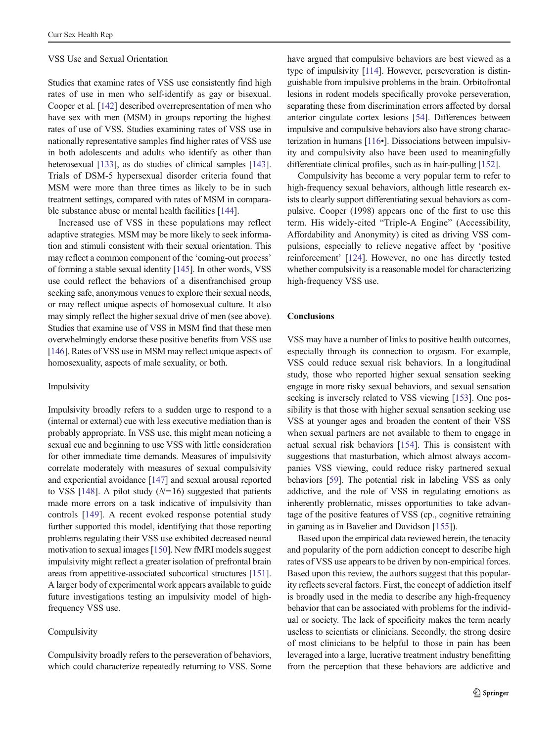#### VSS Use and Sexual Orientation

Studies that examine rates of VSS use consistently find high rates of use in men who self-identify as gay or bisexual. Cooper et al. [\[142\]](#page-11-0) described overrepresentation of men who have sex with men (MSM) in groups reporting the highest rates of use of VSS. Studies examining rates of VSS use in nationally representative samples find higher rates of VSS use in both adolescents and adults who identify as other than heterosexual [[133](#page-10-0)], as do studies of clinical samples [[143\]](#page-11-0). Trials of DSM-5 hypersexual disorder criteria found that MSM were more than three times as likely to be in such treatment settings, compared with rates of MSM in comparable substance abuse or mental health facilities [[144\]](#page-11-0).

Increased use of VSS in these populations may reflect adaptive strategies. MSM may be more likely to seek information and stimuli consistent with their sexual orientation. This may reflect a common component of the 'coming-out process' of forming a stable sexual identity [[145](#page-11-0)]. In other words, VSS use could reflect the behaviors of a disenfranchised group seeking safe, anonymous venues to explore their sexual needs, or may reflect unique aspects of homosexual culture. It also may simply reflect the higher sexual drive of men (see above). Studies that examine use of VSS in MSM find that these men overwhelmingly endorse these positive benefits from VSS use [\[146\]](#page-11-0). Rates of VSS use in MSM may reflect unique aspects of homosexuality, aspects of male sexuality, or both.

## Impulsivity

Impulsivity broadly refers to a sudden urge to respond to a (internal or external) cue with less executive mediation than is probably appropriate. In VSS use, this might mean noticing a sexual cue and beginning to use VSS with little consideration for other immediate time demands. Measures of impulsivity correlate moderately with measures of sexual compulsivity and experiential avoidance [\[147\]](#page-11-0) and sexual arousal reported to VSS [[148](#page-11-0)]. A pilot study  $(N=16)$  suggested that patients made more errors on a task indicative of impulsivity than controls [[149\]](#page-11-0). A recent evoked response potential study further supported this model, identifying that those reporting problems regulating their VSS use exhibited decreased neural motivation to sexual images [[150](#page-11-0)]. New fMRI models suggest impulsivity might reflect a greater isolation of prefrontal brain areas from appetitive-associated subcortical structures [[151\]](#page-11-0). A larger body of experimental work appears available to guide future investigations testing an impulsivity model of highfrequency VSS use.

# Compulsivity

Compulsivity broadly refers to the perseveration of behaviors, which could characterize repeatedly returning to VSS. Some

have argued that compulsive behaviors are best viewed as a type of impulsivity [\[114](#page-10-0)]. However, perseveration is distinguishable from impulsive problems in the brain. Orbitofrontal lesions in rodent models specifically provoke perseveration, separating these from discrimination errors affected by dorsal anterior cingulate cortex lesions [[54\]](#page-8-0). Differences between impulsive and compulsive behaviors also have strong characterization in humans [\[116](#page-10-0)•]. Dissociations between impulsivity and compulsivity also have been used to meaningfully differentiate clinical profiles, such as in hair-pulling [\[152\]](#page-11-0).

Compulsivity has become a very popular term to refer to high-frequency sexual behaviors, although little research exists to clearly support differentiating sexual behaviors as compulsive. Cooper (1998) appears one of the first to use this term. His widely-cited "Triple-A Engine" (Accessibility, Affordability and Anonymity) is cited as driving VSS compulsions, especially to relieve negative affect by 'positive reinforcement' [\[124\]](#page-10-0). However, no one has directly tested whether compulsivity is a reasonable model for characterizing high-frequency VSS use.

## **Conclusions**

VSS may have a number of links to positive health outcomes, especially through its connection to orgasm. For example, VSS could reduce sexual risk behaviors. In a longitudinal study, those who reported higher sexual sensation seeking engage in more risky sexual behaviors, and sexual sensation seeking is inversely related to VSS viewing [[153\]](#page-11-0). One possibility is that those with higher sexual sensation seeking use VSS at younger ages and broaden the content of their VSS when sexual partners are not available to them to engage in actual sexual risk behaviors [[154\]](#page-11-0). This is consistent with suggestions that masturbation, which almost always accompanies VSS viewing, could reduce risky partnered sexual behaviors [\[59\]](#page-8-0). The potential risk in labeling VSS as only addictive, and the role of VSS in regulating emotions as inherently problematic, misses opportunities to take advantage of the positive features of VSS (cp., cognitive retraining in gaming as in Bavelier and Davidson [\[155\]](#page-11-0)).

Based upon the empirical data reviewed herein, the tenacity and popularity of the porn addiction concept to describe high rates of VSS use appears to be driven by non-empirical forces. Based upon this review, the authors suggest that this popularity reflects several factors. First, the concept of addiction itself is broadly used in the media to describe any high-frequency behavior that can be associated with problems for the individual or society. The lack of specificity makes the term nearly useless to scientists or clinicians. Secondly, the strong desire of most clinicians to be helpful to those in pain has been leveraged into a large, lucrative treatment industry benefitting from the perception that these behaviors are addictive and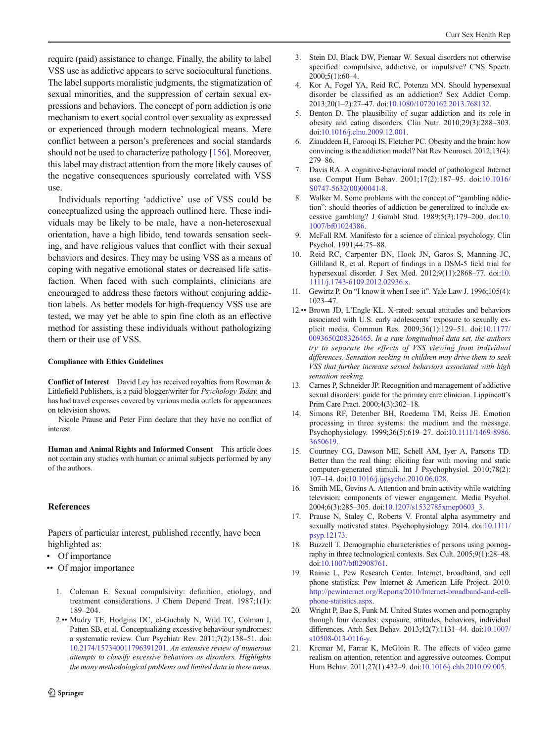<span id="page-7-0"></span>require (paid) assistance to change. Finally, the ability to label VSS use as addictive appears to serve sociocultural functions. The label supports moralistic judgments, the stigmatization of sexual minorities, and the suppression of certain sexual expressions and behaviors. The concept of porn addiction is one mechanism to exert social control over sexuality as expressed or experienced through modern technological means. Mere conflict between a person's preferences and social standards should not be used to characterize pathology [\[156](#page-11-0)]. Moreover, this label may distract attention from the more likely causes of the negative consequences spuriously correlated with VSS use.

Individuals reporting 'addictive' use of VSS could be conceptualized using the approach outlined here. These individuals may be likely to be male, have a non-heterosexual orientation, have a high libido, tend towards sensation seeking, and have religious values that conflict with their sexual behaviors and desires. They may be using VSS as a means of coping with negative emotional states or decreased life satisfaction. When faced with such complaints, clinicians are encouraged to address these factors without conjuring addiction labels. As better models for high-frequency VSS use are tested, we may yet be able to spin fine cloth as an effective method for assisting these individuals without pathologizing them or their use of VSS.

#### Compliance with Ethics Guidelines

Conflict of Interest David Ley has received royalties from Rowman & Littlefield Publishers, is a paid blogger/writer for Psychology Today, and has had travel expenses covered by various media outlets for appearances on television shows.

Nicole Prause and Peter Finn declare that they have no conflict of interest.

Human and Animal Rights and Informed Consent This article does not contain any studies with human or animal subjects performed by any of the authors.

## **References**

Papers of particular interest, published recently, have been highlighted as:

- Of importance
- •• Of major importance
	- 1. Coleman E. Sexual compulsivity: definition, etiology, and treatment considerations. J Chem Depend Treat. 1987;1(1): 189–204.
	- 2.•• Mudry TE, Hodgins DC, el-Guebaly N, Wild TC, Colman I, Patten SB, et al. Conceptualizing excessive behaviour syndromes: a systematic review. Curr Psychiatr Rev. 2011;7(2):138–51. doi: [10.2174/157340011796391201](http://dx.doi.org/10.2174/157340011796391201). An extensive review of numerous attempts to classify excessive behaviors as disorders. Highlights the many methodological problems and limited data in these areas.
- 3. Stein DJ, Black DW, Pienaar W. Sexual disorders not otherwise specified: compulsive, addictive, or impulsive? CNS Spectr. 2000;5(1):60–4.
- 4. Kor A, Fogel YA, Reid RC, Potenza MN. Should hypersexual disorder be classified as an addiction? Sex Addict Comp. 2013;20(1–2):27–47. doi[:10.1080/10720162.2013.768132.](http://dx.doi.org/10.1080/10720162.2013.768132)
- 5. Benton D. The plausibility of sugar addiction and its role in obesity and eating disorders. Clin Nutr. 2010;29(3):288–303. doi[:10.1016/j.clnu.2009.12.001](http://dx.doi.org/10.1016/j.clnu.2009.12.001).
- 6. Ziauddeen H, Farooqi IS, Fletcher PC. Obesity and the brain: how convincing is the addiction model? Nat Rev Neurosci. 2012;13(4): 279–86.
- 7. Davis RA. A cognitive-behavioral model of pathological Internet use. Comput Hum Behav. 2001;17(2):187–95. doi:[10.1016/](http://dx.doi.org/10.1016/S0747-5632(00)00041-8) [S0747-5632\(00\)00041-8.](http://dx.doi.org/10.1016/S0747-5632(00)00041-8)
- 8. Walker M. Some problems with the concept of "gambling addiction": should theories of addiction be generalized to include excessive gambling? J Gambl Stud. 1989;5(3):179–200. doi:[10.](http://dx.doi.org/10.1007/bf01024386) [1007/bf01024386](http://dx.doi.org/10.1007/bf01024386).
- 9. McFall RM. Manifesto for a science of clinical psychology. Clin Psychol. 1991;44:75–88.
- 10. Reid RC, Carpenter BN, Hook JN, Garos S, Manning JC, Gilliland R, et al. Report of findings in a DSM-5 field trial for hypersexual disorder. J Sex Med. 2012;9(11):2868–77. doi[:10.](http://dx.doi.org/10.1111/j.1743-6109.2012.02936.x) [1111/j.1743-6109.2012.02936.x](http://dx.doi.org/10.1111/j.1743-6109.2012.02936.x).
- Gewirtz P. On "I know it when I see it". Yale Law J. 1996;105(4): 1023–47.
- 12.•• Brown JD, L'Engle KL. X-rated: sexual attitudes and behaviors associated with U.S. early adolescents' exposure to sexually explicit media. Commun Res. 2009;36(1):129–51. doi:[10.1177/](http://dx.doi.org/10.1177/0093650208326465) [0093650208326465](http://dx.doi.org/10.1177/0093650208326465). In a rare longitudinal data set, the authors try to separate the effects of VSS viewing from individual differences. Sensation seeking in children may drive them to seek VSS that further increase sexual behaviors associated with high sensation seeking.
- 13. Carnes P, Schneider JP. Recognition and management of addictive sexual disorders: guide for the primary care clinician. Lippincott's Prim Care Pract. 2000;4(3):302–18.
- 14. Simons RF, Detenber BH, Roedema TM, Reiss JE. Emotion processing in three systems: the medium and the message. Psychophysiology. 1999;36(5):619–27. doi:[10.1111/1469-8986.](http://dx.doi.org/10.1111/1469-8986.3650619) [3650619.](http://dx.doi.org/10.1111/1469-8986.3650619)
- 15. Courtney CG, Dawson ME, Schell AM, Iyer A, Parsons TD. Better than the real thing: eliciting fear with moving and static computer-generated stimuli. Int J Psychophysiol. 2010;78(2): 107–14. doi[:10.1016/j.ijpsycho.2010.06.028.](http://dx.doi.org/10.1016/j.ijpsycho.2010.06.028)
- 16. Smith ME, Gevins A. Attention and brain activity while watching television: components of viewer engagement. Media Psychol. 2004;6(3):285–305. doi[:10.1207/s1532785xmep0603\\_3](http://dx.doi.org/10.1207/s1532785xmep0603_3).
- 17. Prause N, Staley C, Roberts V. Frontal alpha asymmetry and sexually motivated states. Psychophysiology. 2014. doi[:10.1111/](http://dx.doi.org/10.1111/psyp.12173) [psyp.12173.](http://dx.doi.org/10.1111/psyp.12173)
- 18. Buzzell T. Demographic characteristics of persons using pornography in three technological contexts. Sex Cult. 2005;9(1):28–48. doi[:10.1007/bf02908761](http://dx.doi.org/10.1007/bf02908761).
- 19. Rainie L, Pew Research Center. Internet, broadband, and cell phone statistics: Pew Internet & American Life Project. 2010. [http://pewinternet.org/Reports/2010/Internet-broadband-and-cell](http://pewinternet.org/Reports/2010/Internet-broadband-and-cell-phone-statistics.aspx)[phone-statistics.aspx](http://pewinternet.org/Reports/2010/Internet-broadband-and-cell-phone-statistics.aspx).
- 20. Wright P, Bae S, Funk M. United States women and pornography through four decades: exposure, attitudes, behaviors, individual differences. Arch Sex Behav. 2013;42(7):1131–44. doi[:10.1007/](http://dx.doi.org/10.1007/s10508-013-0116-y) [s10508-013-0116-y.](http://dx.doi.org/10.1007/s10508-013-0116-y)
- 21. Krcmar M, Farrar K, McGloin R. The effects of video game realism on attention, retention and aggressive outcomes. Comput Hum Behav. 2011;27(1):432–9. doi[:10.1016/j.chb.2010.09.005.](http://dx.doi.org/10.1016/j.chb.2010.09.005)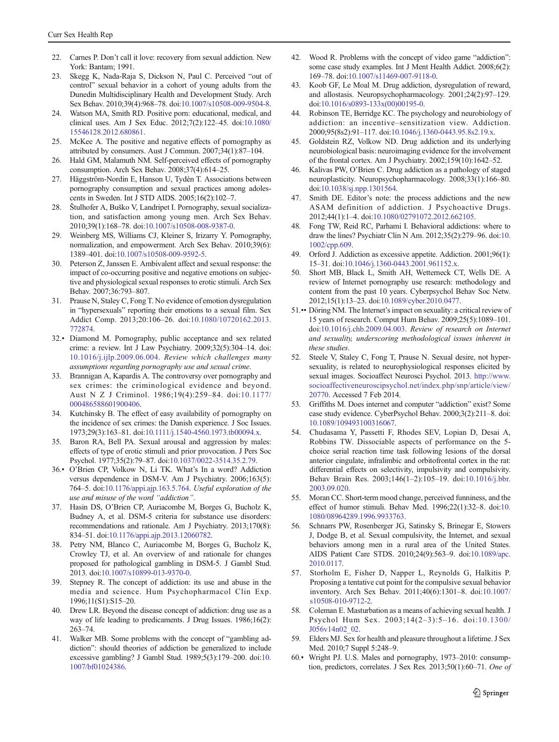- <span id="page-8-0"></span>22. Carnes P. Don't call it love: recovery from sexual addiction. New York: Bantam; 1991.
- 23. Skegg K, Nada-Raja S, Dickson N, Paul C. Perceived "out of control" sexual behavior in a cohort of young adults from the Dunedin Multidisciplinary Health and Development Study. Arch Sex Behav. 2010;39(4):968–78. doi[:10.1007/s10508-009-9504-8](http://dx.doi.org/10.1007/s10508-009-9504-8).
- 24. Watson MA, Smith RD. Positive porn: educational, medical, and clinical uses. Am J Sex Educ. 2012;7(2):122–45. doi[:10.1080/](http://dx.doi.org/10.1080/15546128.2012.680861) [15546128.2012.680861.](http://dx.doi.org/10.1080/15546128.2012.680861)
- 25. McKee A. The positive and negative effects of pornography as attributed by consumers. Aust J Commun. 2007;34(1):87–104.
- 26. Hald GM, Malamuth NM. Self-perceived effects of pornography consumption. Arch Sex Behav. 2008;37(4):614–25.
- 27. Häggström-Nordin E, Hanson U, Tydén T. Associations between pornography consumption and sexual practices among adolescents in Sweden. Int J STD AIDS. 2005;16(2):102–7.
- 28. Štulhofer A, Buško V, Landripet I. Pornography, sexual socialization, and satisfaction among young men. Arch Sex Behav. 2010;39(1):168–78. doi:[10.1007/s10508-008-9387-0.](http://dx.doi.org/10.1007/s10508-008-9387-0)
- 29. Weinberg MS, Williams CJ, Kleiner S, Irizarry Y. Pornography, normalization, and empowerment. Arch Sex Behav. 2010;39(6): 1389–401. doi[:10.1007/s10508-009-9592-5](http://dx.doi.org/10.1007/s10508-009-9592-5).
- 30. Peterson Z, Janssen E. Ambivalent affect and sexual response: the impact of co-occurring positive and negative emotions on subjective and physiological sexual responses to erotic stimuli. Arch Sex Behav. 2007;36:793–807.
- 31. Prause N, Staley C, Fong T. No evidence of emotion dysregulation in "hypersexuals" reporting their emotions to a sexual film. Sex Addict Comp. 2013;20:106–26. doi[:10.1080/10720162.2013.](http://dx.doi.org/10.1080/10720162.2013.772874) [772874](http://dx.doi.org/10.1080/10720162.2013.772874).
- 32.• Diamond M. Pornography, public acceptance and sex related crime: a review. Int J Law Psychiatry. 2009;32(5):304–14. doi: [10.1016/j.ijlp.2009.06.004.](http://dx.doi.org/10.1016/j.ijlp.2009.06.004) Review which challenges many assumptions regarding pornography use and sexual crime.
- 33. Brannigan A, Kapardis A. The controversy over pornography and sex crimes: the criminological evidence and beyond. Aust N Z J Criminol. 1986;19(4):259–84. doi:[10.1177/](http://dx.doi.org/10.1177/000486588601900406) [000486588601900406.](http://dx.doi.org/10.1177/000486588601900406)
- 34. Kutchinsky B. The effect of easy availability of pornography on the incidence of sex crimes: the Danish experience. J Soc Issues. 1973;29(3):163–81. doi:[10.1111/j.1540-4560.1973.tb00094.x.](http://dx.doi.org/10.1111/j.1540-4560.1973.tb00094.x)
- 35. Baron RA, Bell PA. Sexual arousal and aggression by males: effects of type of erotic stimuli and prior provocation. J Pers Soc Psychol. 1977;35(2):79–87. doi[:10.1037/0022-3514.35.2.79](http://dx.doi.org/10.1037/0022-3514.35.2.79).
- 36.• O'Brien CP, Volkow N, Li TK. What's In a word? Addiction versus dependence in DSM-V. Am J Psychiatry. 2006;163(5): 764–5. doi:[10.1176/appi.ajp.163.5.764.](http://dx.doi.org/10.1176/appi.ajp.163.5.764) Useful exploration of the use and misuse of the word "addiction".
- 37. Hasin DS, O'Brien CP, Auriacombe M, Borges G, Bucholz K, Budney A, et al. DSM-5 criteria for substance use disorders: recommendations and rationale. Am J Psychiatry. 2013;170(8): 834–51. doi[:10.1176/appi.ajp.2013.12060782.](http://dx.doi.org/10.1176/appi.ajp.2013.12060782)
- 38. Petry NM, Blanco C, Auriacombe M, Borges G, Bucholz K, Crowley TJ, et al. An overview of and rationale for changes proposed for pathological gambling in DSM-5. J Gambl Stud. 2013. doi[:10.1007/s10899-013-9370-0.](http://dx.doi.org/10.1007/s10899-013-9370-0)
- 39. Stepney R. The concept of addiction: its use and abuse in the media and science. Hum Psychopharmacol Clin Exp. 1996;11(S1):S15–20.
- 40. Drew LR. Beyond the disease concept of addiction: drug use as a way of life leading to predicaments. J Drug Issues. 1986;16(2): 263–74.
- 41. Walker MB. Some problems with the concept of "gambling addiction": should theories of addiction be generalized to include excessive gambling? J Gambl Stud. 1989;5(3):179–200. doi:[10.](http://dx.doi.org/10.1007/bf01024386) [1007/bf01024386.](http://dx.doi.org/10.1007/bf01024386)
- 42. Wood R. Problems with the concept of video game "addiction": some case study examples. Int J Ment Health Addict. 2008;6(2): 169–78. doi[:10.1007/s11469-007-9118-0.](http://dx.doi.org/10.1007/s11469-007-9118-0)
- 43. Koob GF, Le Moal M. Drug addiction, dysregulation of reward, and allostasis. Neuropsychopharmacology. 2001;24(2):97–129. doi[:10.1016/s0893-133x\(00\)00195-0](http://dx.doi.org/10.1016/s0893-133x(00)00195-0).
- Robinson TE, Berridge KC. The psychology and neurobiology of addiction: an incentive–sensitization view. Addiction. 2000;95(8s2):91–117. doi[:10.1046/j.1360-0443.95.8s2.19.x](http://dx.doi.org/10.1046/j.1360-0443.95.8s2.19.x).
- 45. Goldstein RZ, Volkow ND. Drug addiction and its underlying neurobiological basis: neuroimaging evidence for the involvement of the frontal cortex. Am J Psychiatry. 2002;159(10):1642–52.
- 46. Kalivas PW, O'Brien C. Drug addiction as a pathology of staged neuroplasticity. Neuropsychopharmacology. 2008;33(1):166–80. doi[:10.1038/sj.npp.1301564.](http://dx.doi.org/10.1038/sj.npp.1301564)
- 47. Smith DE. Editor's note: the process addictions and the new ASAM definition of addiction. J Psychoactive Drugs. 2012;44(1):1–4. doi:[10.1080/02791072.2012.662105](http://dx.doi.org/10.1080/02791072.2012.662105).
- 48. Fong TW, Reid RC, Parhami I. Behavioral addictions: where to draw the lines? Psychiatr Clin N Am. 2012;35(2):279–96. doi[:10.](http://dx.doi.org/10.1002/cpp.609) [1002/cpp.609.](http://dx.doi.org/10.1002/cpp.609)
- 49. Orford J. Addiction as excessive appetite. Addiction. 2001;96(1): 15–31. doi[:10.1046/j.1360-0443.2001.961152.x](http://dx.doi.org/10.1046/j.1360-0443.2001.961152.x).
- 50. Short MB, Black L, Smith AH, Wetterneck CT, Wells DE. A review of Internet pornography use research: methodology and content from the past 10 years. Cyberpsychol Behav Soc Netw. 2012;15(1):13–23. doi:[10.1089/cyber.2010.0477.](http://dx.doi.org/10.1089/cyber.2010.0477)
- 51.•• Döring NM. The Internet's impact on sexuality: a critical review of 15 years of research. Comput Hum Behav. 2009;25(5):1089–101. doi[:10.1016/j.chb.2009.04.003.](http://dx.doi.org/10.1016/j.chb.2009.04.003) Review of research on Internet and sexuality, underscoring methodological issues inherent in these studies.
- 52. Steele V, Staley C, Fong T, Prause N. Sexual desire, not hypersexuality, is related to neurophysiological responses elicited by sexual images. Socioaffect Neurosci Psychol. 2013. [http://www.](http://www.socioaffectiveneuroscipsychol.net/index.php/snp/article/view/20770) [socioaffectiveneuroscipsychol.net/index.php/snp/article/view/](http://www.socioaffectiveneuroscipsychol.net/index.php/snp/article/view/20770) [20770](http://www.socioaffectiveneuroscipsychol.net/index.php/snp/article/view/20770). Accessed 7 Feb 2014.
- 53. Griffiths M. Does internet and computer "addiction" exist? Some case study evidence. CyberPsychol Behav. 2000;3(2):211–8. doi: [10.1089/109493100316067.](http://dx.doi.org/10.1089/109493100316067)
- 54. Chudasama Y, Passetti F, Rhodes SEV, Lopian D, Desai A, Robbins TW. Dissociable aspects of performance on the 5 choice serial reaction time task following lesions of the dorsal anterior cingulate, infralimbic and orbitofrontal cortex in the rat: differential effects on selectivity, impulsivity and compulsivity. Behav Brain Res. 2003;146(1–2):105–19. doi:[10.1016/j.bbr.](http://dx.doi.org/10.1016/j.bbr.2003.09.020) [2003.09.020](http://dx.doi.org/10.1016/j.bbr.2003.09.020).
- 55. Moran CC. Short-term mood change, perceived funniness, and the effect of humor stimuli. Behav Med. 1996;22(1):32–8. doi:[10.](http://dx.doi.org/10.1080/08964289.1996.9933763) [1080/08964289.1996.9933763.](http://dx.doi.org/10.1080/08964289.1996.9933763)
- 56. Schnarrs PW, Rosenberger JG, Satinsky S, Brinegar E, Stowers J, Dodge B, et al. Sexual compulsivity, the Internet, and sexual behaviors among men in a rural area of the United States. AIDS Patient Care STDS. 2010;24(9):563–9. doi:[10.1089/apc.](http://dx.doi.org/10.1089/apc.2010.0117) [2010.0117](http://dx.doi.org/10.1089/apc.2010.0117).
- 57. Storholm E, Fisher D, Napper L, Reynolds G, Halkitis P. Proposing a tentative cut point for the compulsive sexual behavior inventory. Arch Sex Behav. 2011;40(6):1301–8. doi[:10.1007/](http://dx.doi.org/10.1007/s10508-010-9712-2) [s10508-010-9712-2](http://dx.doi.org/10.1007/s10508-010-9712-2).
- 58. Coleman E. Masturbation as a means of achieving sexual health. J Psychol Hum Sex. 2003;14(2–3):5–16. doi:[10.1300/](http://dx.doi.org/10.1300/J056v14n02_02) [J056v14n02\\_02](http://dx.doi.org/10.1300/J056v14n02_02).
- 59. Elders MJ. Sex for health and pleasure throughout a lifetime. J Sex Med. 2010;7 Suppl 5:248–9.
- 60.• Wright PJ. U.S. Males and pornography, 1973–2010: consumption, predictors, correlates. J Sex Res. 2013;50(1):60–71. One of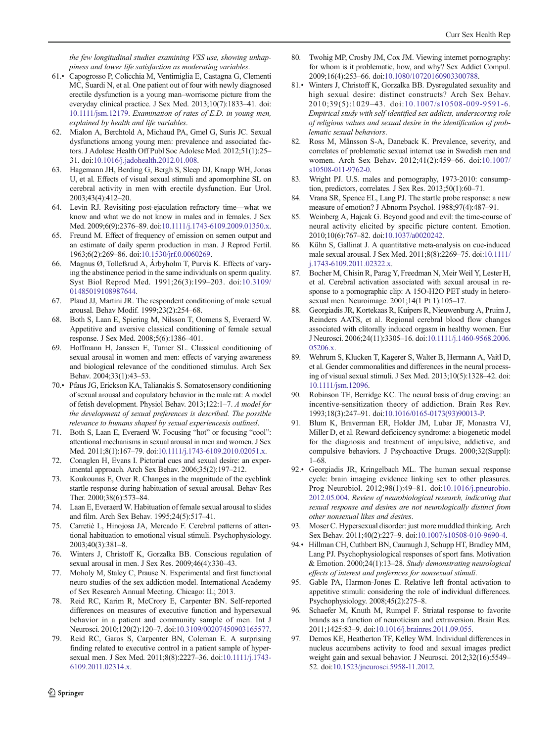<span id="page-9-0"></span>the few longitudinal studies examining VSS use, showing unhappiness and lower life satisfaction as moderating variables.

- 61.• Capogrosso P, Colicchia M, Ventimiglia E, Castagna G, Clementi MC, Suardi N, et al. One patient out of four with newly diagnosed erectile dysfunction is a young man–worrisome picture from the everyday clinical practice. J Sex Med. 2013;10(7):1833–41. doi: [10.1111/jsm.12179.](http://dx.doi.org/10.1111/jsm.12179) Examination of rates of E.D. in young men, explained by health and life variables.
- 62. Mialon A, Berchtold A, Michaud PA, Gmel G, Suris JC. Sexual dysfunctions among young men: prevalence and associated factors. J Adolesc Health Off Publ Soc Adolesc Med. 2012;51(1):25– 31. doi:[10.1016/j.jadohealth.2012.01.008](http://dx.doi.org/10.1016/j.jadohealth.2012.01.008).
- 63. Hagemann JH, Berding G, Bergh S, Sleep DJ, Knapp WH, Jonas U, et al. Effects of visual sexual stimuli and apomorphine SL on cerebral activity in men with erectile dysfunction. Eur Urol. 2003;43(4):412–20.
- 64. Levin RJ. Revisiting post-ejaculation refractory time—what we know and what we do not know in males and in females. J Sex Med. 2009;6(9):2376-89. doi[:10.1111/j.1743-6109.2009.01350.x](http://dx.doi.org/10.1111/j.1743-6109.2009.01350.x).
- 65. Freund M. Effect of frequency of emission on semen output and an estimate of daily sperm production in man. J Reprod Fertil. 1963;6(2):269–86. doi:[10.1530/jrf.0.0060269](http://dx.doi.org/10.1530/jrf.0.0060269).
- 66. Magnus Ø, Tollefsrud A, Árbyholm T, Purvis K. Effects of varying the abstinence period in the same individuals on sperm quality. Syst Biol Reprod Med. 1991;26(3):199–203. doi:[10.3109/](http://dx.doi.org/10.3109/01485019108987644) [01485019108987644.](http://dx.doi.org/10.3109/01485019108987644)
- 67. Plaud JJ, Martini JR. The respondent conditioning of male sexual arousal. Behav Modif. 1999;23(2):254–68.
- 68. Both S, Laan E, Spiering M, Nilsson T, Oomens S, Everaerd W. Appetitive and aversive classical conditioning of female sexual response. J Sex Med. 2008;5(6):1386–401.
- 69. Hoffmann H, Janssen E, Turner SL. Classical conditioning of sexual arousal in women and men: effects of varying awareness and biological relevance of the conditioned stimulus. Arch Sex Behav. 2004;33(1):43–53.
- 70.• Pfaus JG, Erickson KA, Talianakis S. Somatosensory conditioning of sexual arousal and copulatory behavior in the male rat: A model of fetish development. Physiol Behav. 2013;122:1–7. A model for the development of sexual preferences is described. The possible relevance to humans shaped by sexual experiencesis outlined.
- 71. Both S, Laan E, Everaerd W. Focusing "hot" or focusing "cool": attentional mechanisms in sexual arousal in men and women. J Sex Med. 2011;8(1):167-79. doi:[10.1111/j.1743-6109.2010.02051.x.](http://dx.doi.org/10.1111/j.1743-6109.2010.02051.x)
- 72. Conaglen H, Evans I. Pictorial cues and sexual desire: an experimental approach. Arch Sex Behav. 2006;35(2):197–212.
- 73. Koukounas E, Over R. Changes in the magnitude of the eyeblink startle response during habituation of sexual arousal. Behav Res Ther. 2000;38(6):573–84.
- 74. Laan E, Everaerd W. Habituation of female sexual arousal to slides and film. Arch Sex Behav. 1995;24(5):517–41.
- 75. Carretiè L, Hinojosa JA, Mercado F. Cerebral patterns of attentional habituation to emotional visual stimuli. Psychophysiology. 2003;40(3):381–8.
- 76. Winters J, Christoff K, Gorzalka BB. Conscious regulation of sexual arousal in men. J Sex Res. 2009;46(4):330–43.
- 77. Moholy M, Staley C, Prause N. Experimental and first functional neuro studies of the sex addiction model. International Academy of Sex Research Annual Meeting. Chicago: IL; 2013.
- Reid RC, Karim R, McCrory E, Carpenter BN. Self-reported differences on measures of executive function and hypersexual behavior in a patient and community sample of men. Int J Neurosci. 2010;120(2):120–7. doi:[10.3109/00207450903165577](http://dx.doi.org/10.3109/00207450903165577).
- 79. Reid RC, Garos S, Carpenter BN, Coleman E. A surprising finding related to executive control in a patient sample of hypersexual men. J Sex Med. 2011;8(8):2227–36. doi[:10.1111/j.1743-](http://dx.doi.org/10.1111/j.1743-6109.2011.02314.x) [6109.2011.02314.x](http://dx.doi.org/10.1111/j.1743-6109.2011.02314.x).
- 80. Twohig MP, Crosby JM, Cox JM. Viewing internet pornography: for whom is it problematic, how, and why? Sex Addict Compul. 2009;16(4):253–66. doi[:10.1080/10720160903300788](http://dx.doi.org/10.1080/10720160903300788).
- 81.• Winters J, Christoff K, Gorzalka BB. Dysregulated sexuality and high sexual desire: distinct constructs? Arch Sex Behav. 2010;39(5):1029–43. doi:[10.1007/s10508-009-9591-6](http://dx.doi.org/10.1007/s10508-009-9591-6). Empirical study with self-identified sex addicts, underscoring role of religious values and sexual desire in the identification of problematic sexual behaviors.
- 82. Ross M, Månsson S-A, Daneback K. Prevalence, severity, and correlates of problematic sexual internet use in Swedish men and women. Arch Sex Behav. 2012;41(2):459–66. doi:[10.1007/](http://dx.doi.org/10.1007/s10508-011-9762-0) [s10508-011-9762-0](http://dx.doi.org/10.1007/s10508-011-9762-0).
- 83. Wright PJ. U.S. males and pornography, 1973-2010: consumption, predictors, correlates. J Sex Res. 2013;50(1):60–71.
- 84. Vrana SR, Spence EL, Lang PJ. The startle probe response: a new measure of emotion? J Abnorm Psychol. 1988;97(4):487–91.
- 85. Weinberg A, Hajcak G. Beyond good and evil: the time-course of neural activity elicited by specific picture content. Emotion. 2010;10(6):767–82. doi[:10.1037/a0020242](http://dx.doi.org/10.1037/a0020242).
- 86. Kühn S, Gallinat J. A quantitative meta-analysis on cue-induced male sexual arousal. J Sex Med. 2011;8(8):2269–75. doi[:10.1111/](http://dx.doi.org/10.1111/j.1743-6109.2011.02322.x) [j.1743-6109.2011.02322.x.](http://dx.doi.org/10.1111/j.1743-6109.2011.02322.x)
- 87. Bocher M, Chisin R, Parag Y, Freedman N, Meir Weil Y, Lester H, et al. Cerebral activation associated with sexual arousal in response to a pornographic clip: A 15O-H2O PET study in heterosexual men. Neuroimage. 2001;14(1 Pt 1):105–17.
- 88. Georgiadis JR, Kortekaas R, Kuipers R, Nieuwenburg A, Pruim J, Reinders AATS, et al. Regional cerebral blood flow changes associated with clitorally induced orgasm in healthy women. Eur J Neurosci. 2006;24(11):3305–16. doi[:10.1111/j.1460-9568.2006.](http://dx.doi.org/10.1111/j.1460-9568.2006.05206.x) [05206.x](http://dx.doi.org/10.1111/j.1460-9568.2006.05206.x).
- 89. Wehrum S, Klucken T, Kagerer S, Walter B, Hermann A, Vaitl D, et al. Gender commonalities and differences in the neural processing of visual sexual stimuli. J Sex Med. 2013;10(5):1328–42. doi: [10.1111/jsm.12096](http://dx.doi.org/10.1111/jsm.12096).
- 90. Robinson TE, Berridge KC. The neural basis of drug craving: an incentive-sensitization theory of addiction. Brain Res Rev. 1993;18(3):247–91. doi[:10.1016/0165-0173\(93\)90013-P.](http://dx.doi.org/10.1016/0165-0173(93)90013-P)
- 91. Blum K, Braverman ER, Holder JM, Lubar JF, Monastra VJ, Miller D, et al. Reward deficicency syndrome: a biogenetic model for the diagnosis and treatment of impulsive, addictive, and compulsive behaviors. J Psychoactive Drugs. 2000;32(Suppl): 1–68.
- 92.• Georgiadis JR, Kringelbach ML. The human sexual response cycle: brain imaging evidence linking sex to other pleasures. Prog Neurobiol. 2012;98(1):49–81. doi:[10.1016/j.pneurobio.](http://dx.doi.org/10.1016/j.pneurobio.2012.05.004) [2012.05.004.](http://dx.doi.org/10.1016/j.pneurobio.2012.05.004) Review of neurobiological research, indicating that sexual response and desires are not neurologically distinct from other nonsexual likes and desires.
- 93. Moser C. Hypersexual disorder: just more muddled thinking. Arch Sex Behav. 2011;40(2):227–9. doi:[10.1007/s10508-010-9690-4.](http://dx.doi.org/10.1007/s10508-010-9690-4)
- 94.• Hillman CH, Cuthbert BN, Cauraugh J, Schupp HT, Bradley MM, Lang PJ. Psychophysiological responses of sport fans. Motivation & Emotion. 2000;24(1):13–28. Study demonstrating neurological effects of interest and prefernces for nonsexual stimuli.
- 95. Gable PA, Harmon-Jones E. Relative left frontal activation to appetitive stimuli: considering the role of individual differences. Psychophysiology. 2008;45(2):275–8.
- Schaefer M, Knuth M, Rumpel F. Striatal response to favorite brands as a function of neuroticism and extraversion. Brain Res. 2011;1425:83–9. doi[:10.1016/j.brainres.2011.09.055.](http://dx.doi.org/10.1016/j.brainres.2011.09.055)
- 97. Demos KE, Heatherton TF, Kelley WM. Individual differences in nucleus accumbens activity to food and sexual images predict weight gain and sexual behavior. J Neurosci. 2012;32(16):5549– 52. doi:[10.1523/jneurosci.5958-11.2012](http://dx.doi.org/10.1523/jneurosci.5958-11.2012).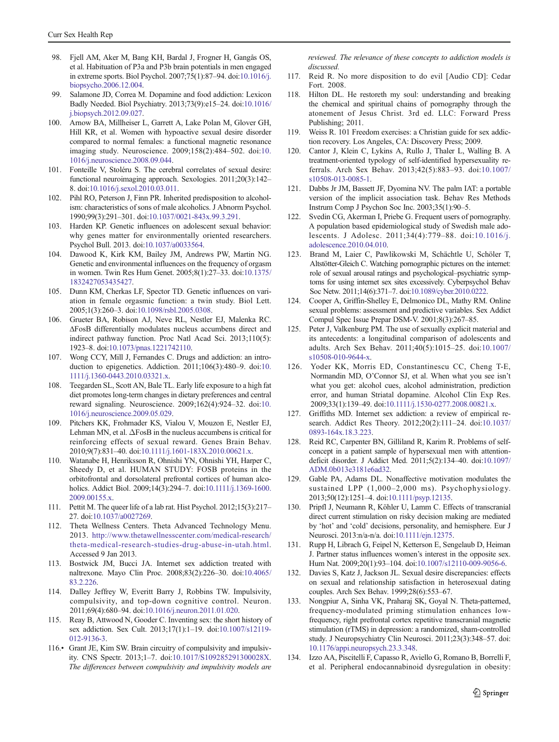- <span id="page-10-0"></span>98. Fjell AM, Aker M, Bang KH, Bardal J, Frogner H, Gangås OS, et al. Habituation of P3a and P3b brain potentials in men engaged in extreme sports. Biol Psychol. 2007;75(1):87–94. doi:[10.1016/j.](http://dx.doi.org/10.1016/j.biopsycho.2006.12.004) [biopsycho.2006.12.004](http://dx.doi.org/10.1016/j.biopsycho.2006.12.004).
- 99. Salamone JD, Correa M. Dopamine and food addiction: Lexicon Badly Needed. Biol Psychiatry. 2013;73(9):e15–24. doi[:10.1016/](http://dx.doi.org/10.1016/j.biopsych.2012.09.027) [j.biopsych.2012.09.027](http://dx.doi.org/10.1016/j.biopsych.2012.09.027).
- 100. Arnow BA, Millheiser L, Garrett A, Lake Polan M, Glover GH, Hill KR, et al. Women with hypoactive sexual desire disorder compared to normal females: a functional magnetic resonance imaging study. Neuroscience. 2009;158(2):484–502. doi[:10.](http://dx.doi.org/10.1016/j.neuroscience.2008.09.044) [1016/j.neuroscience.2008.09.044](http://dx.doi.org/10.1016/j.neuroscience.2008.09.044).
- 101. Fonteille V, Stoléru S. The cerebral correlates of sexual desire: functional neuroimaging approach. Sexologies. 2011;20(3):142– 8. doi[:10.1016/j.sexol.2010.03.011.](http://dx.doi.org/10.1016/j.sexol.2010.03.011)
- 102. Pihl RO, Peterson J, Finn PR. Inherited predisposition to alcoholism: characteristics of sons of male alcoholics. J Abnorm Psychol. 1990;99(3):291–301. doi:[10.1037/0021-843x.99.3.291](http://dx.doi.org/10.1037/0021-843x.99.3.291).
- 103. Harden KP. Genetic influences on adolescent sexual behavior: why genes matter for environmentally oriented researchers. Psychol Bull. 2013. doi[:10.1037/a0033564.](http://dx.doi.org/10.1037/a0033564)
- 104. Dawood K, Kirk KM, Bailey JM, Andrews PW, Martin NG. Genetic and environmental influences on the frequency of orgasm in women. Twin Res Hum Genet. 2005;8(1):27–33. doi[:10.1375/](http://dx.doi.org/10.1375/1832427053435427) [1832427053435427.](http://dx.doi.org/10.1375/1832427053435427)
- Dunn KM, Cherkas LF, Spector TD. Genetic influences on variation in female orgasmic function: a twin study. Biol Lett. 2005;1(3):260–3. doi[:10.1098/rsbl.2005.0308.](http://dx.doi.org/10.1098/rsbl.2005.0308)
- 106. Grueter BA, Robison AJ, Neve RL, Nestler EJ, Malenka RC. ΔFosB differentially modulates nucleus accumbens direct and indirect pathway function. Proc Natl Acad Sci. 2013;110(5): 1923–8. doi[:10.1073/pnas.1221742110](http://dx.doi.org/10.1073/pnas.1221742110).
- 107. Wong CCY, Mill J, Fernandes C. Drugs and addiction: an introduction to epigenetics. Addiction. 2011;106(3):480–9. doi:[10.](http://dx.doi.org/10.1111/j.1360-0443.2010.03321.x) [1111/j.1360-0443.2010.03321.x](http://dx.doi.org/10.1111/j.1360-0443.2010.03321.x).
- 108. Teegarden SL, Scott AN, Bale TL. Early life exposure to a high fat diet promotes long-term changes in dietary preferences and central reward signaling. Neuroscience. 2009;162(4):924–32. doi[:10.](http://dx.doi.org/10.1016/j.neuroscience.2009.05.029) [1016/j.neuroscience.2009.05.029](http://dx.doi.org/10.1016/j.neuroscience.2009.05.029).
- 109. Pitchers KK, Frohmader KS, Vialou V, Mouzon E, Nestler EJ, Lehman MN, et al.  $\Delta$ FosB in the nucleus accumbens is critical for reinforcing effects of sexual reward. Genes Brain Behav. 2010;9(7):831–40. doi[:10.1111/j.1601-183X.2010.00621.x.](http://dx.doi.org/10.1111/j.1601-183X.2010.00621.x)
- 110. Watanabe H, Henriksson R, Ohnishi YN, Ohnishi YH, Harper C, Sheedy D, et al. HUMAN STUDY: FOSB proteins in the orbitofrontal and dorsolateral prefrontal cortices of human alcoholics. Addict Biol. 2009;14(3):294–7. doi[:10.1111/j.1369-1600.](http://dx.doi.org/10.1111/j.1369-1600.2009.00155.x) [2009.00155.x](http://dx.doi.org/10.1111/j.1369-1600.2009.00155.x).
- 111. Pettit M. The queer life of a lab rat. Hist Psychol. 2012;15(3):217– 27. doi[:10.1037/a0027269](http://dx.doi.org/10.1037/a0027269).
- 112. Theta Wellness Centers. Theta Advanced Technology Menu. 2013. [http://www.thetawellnesscenter.com/medical-research/](http://www.thetawellnesscenter.com/medical-research/theta-medical-research-studies-drug-abuse-in-utah.html) [theta-medical-research-studies-drug-abuse-in-utah.html.](http://www.thetawellnesscenter.com/medical-research/theta-medical-research-studies-drug-abuse-in-utah.html) Accessed 9 Jan 2013.
- 113. Bostwick JM, Bucci JA. Internet sex addiction treated with naltrexone. Mayo Clin Proc. 2008;83(2):226–30. doi[:10.4065/](http://dx.doi.org/10.4065/83.2.226) [83.2.226.](http://dx.doi.org/10.4065/83.2.226)
- 114. Dalley Jeffrey W, Everitt Barry J, Robbins TW. Impulsivity, compulsivity, and top-down cognitive control. Neuron. 2011;69(4):680–94. doi:[10.1016/j.neuron.2011.01.020.](http://dx.doi.org/10.1016/j.neuron.2011.01.020)
- 115. Reay B, Attwood N, Gooder C. Inventing sex: the short history of sex addiction. Sex Cult. 2013;17(1):1–19. doi:[10.1007/s12119-](http://dx.doi.org/10.1007/s12119-012-9136-3) [012-9136-3](http://dx.doi.org/10.1007/s12119-012-9136-3).
- 116.• Grant JE, Kim SW. Brain circuitry of compulsivity and impulsivity. CNS Spectr. 2013;1–7. doi:[10.1017/S109285291300028X](http://dx.doi.org/10.1017/S109285291300028X). The differences between compulsivity and impulsivity models are

reviewed. The relevance of these concepts to addiction models is discussed.

- 117. Reid R. No more disposition to do evil [Audio CD]: Cedar Fort. 2008.
- 118. Hilton DL. He restoreth my soul: understanding and breaking the chemical and spiritual chains of pornography through the atonement of Jesus Christ. 3rd ed. LLC: Forward Press Publishing; 2011.
- 119. Weiss R. 101 Freedom exercises: a Christian guide for sex addiction recovery. Los Angeles, CA: Discovery Press; 2009.
- 120. Cantor J, Klein C, Lykins A, Rullo J, Thaler L, Walling B. A treatment-oriented typology of self-identified hypersexuality referrals. Arch Sex Behav. 2013;42(5):883–93. doi:[10.1007/](http://dx.doi.org/10.1007/s10508-013-0085-1) [s10508-013-0085-1](http://dx.doi.org/10.1007/s10508-013-0085-1).
- 121. Dabbs Jr JM, Bassett JF, Dyomina NV. The palm IAT: a portable version of the implicit association task. Behav Res Methods Instrum Comp J Psychon Soc Inc. 2003;35(1):90–5.
- 122. Svedin CG, Akerman I, Priebe G. Frequent users of pornography. A population based epidemiological study of Swedish male adolescents. J Adolesc. 2011;34(4):779–88. doi:[10.1016/j.](http://dx.doi.org/10.1016/j.adolescence.2010.04.010) [adolescence.2010.04.010.](http://dx.doi.org/10.1016/j.adolescence.2010.04.010)
- 123. Brand M, Laier C, Pawlikowski M, Schächtle U, Schöler T, Altstötter-Gleich C. Watching pornographic pictures on the internet: role of sexual arousal ratings and psychological–psychiatric symptoms for using internet sex sites excessively. Cyberpsychol Behav Soc Netw. 2011;14(6):371–7. doi[:10.1089/cyber.2010.0222](http://dx.doi.org/10.1089/cyber.2010.0222).
- 124. Cooper A, Griffin-Shelley E, Delmonico DL, Mathy RM. Online sexual problems: assessment and predictive variables. Sex Addict Compul Spec Issue Prepar DSM-V. 2001;8(3):267–85.
- 125. Peter J, Valkenburg PM. The use of sexually explicit material and its antecedents: a longitudinal comparison of adolescents and adults. Arch Sex Behav. 2011;40(5):1015–25. doi[:10.1007/](http://dx.doi.org/10.1007/s10508-010-9644-x) [s10508-010-9644-x](http://dx.doi.org/10.1007/s10508-010-9644-x).
- 126. Yoder KK, Morris ED, Constantinescu CC, Cheng T-E, Normandin MD, O'Connor SJ, et al. When what you see isn't what you get: alcohol cues, alcohol administration, prediction error, and human Striatal dopamine. Alcohol Clin Exp Res. 2009;33(1):139–49. doi[:10.1111/j.1530-0277.2008.00821.x.](http://dx.doi.org/10.1111/j.1530-0277.2008.00821.x)
- 127. Griffiths MD. Internet sex addiction: a review of empirical research. Addict Res Theory. 2012;20(2):111–24. doi[:10.1037/](http://dx.doi.org/10.1037/0893-164x.18.3.223) [0893-164x.18.3.223.](http://dx.doi.org/10.1037/0893-164x.18.3.223)
- 128. Reid RC, Carpenter BN, Gilliland R, Karim R. Problems of selfconcept in a patient sample of hypersexual men with attentiondeficit disorder. J Addict Med. 2011;5(2):134–40. doi[:10.1097/](http://dx.doi.org/10.1097/ADM.0b013e3181e6ad32) [ADM.0b013e3181e6ad32](http://dx.doi.org/10.1097/ADM.0b013e3181e6ad32).
- 129. Gable PA, Adams DL. Nonaffective motivation modulates the sustained LPP (1,000–2,000 ms). Psychophysiology. 2013;50(12):1251–4. doi:[10.1111/psyp.12135](http://dx.doi.org/10.1111/psyp.12135).
- 130. Pripfl J, Neumann R, Köhler U, Lamm C. Effects of transcranial direct current stimulation on risky decision making are mediated by 'hot' and 'cold' decisions, personality, and hemisphere. Eur J Neurosci. 2013:n/a-n/a. doi[:10.1111/ejn.12375](http://dx.doi.org/10.1111/ejn.12375).
- 131. Rupp H, Librach G, Feipel N, Ketterson E, Sengelaub D, Heiman J. Partner status influences women's interest in the opposite sex. Hum Nat. 2009;20(1):93–104. doi:[10.1007/s12110-009-9056-6](http://dx.doi.org/10.1007/s12110-009-9056-6).
- 132. Davies S, Katz J, Jackson JL. Sexual desire discrepancies: effects on sexual and relationship satisfaction in heterosexual dating couples. Arch Sex Behav. 1999;28(6):553–67.
- 133. Nongpiur A, Sinha VK, Praharaj SK, Goyal N. Theta-patterned, frequency-modulated priming stimulation enhances lowfrequency, right prefrontal cortex repetitive transcranial magnetic stimulation (rTMS) in depression: a randomized, sham-controlled study. J Neuropsychiatry Clin Neurosci. 2011;23(3):348–57. doi: [10.1176/appi.neuropsych.23.3.348.](http://dx.doi.org/10.1176/appi.neuropsych.23.3.348)
- 134. Izzo AA, Piscitelli F, Capasso R, Aviello G, Romano B, Borrelli F, et al. Peripheral endocannabinoid dysregulation in obesity: